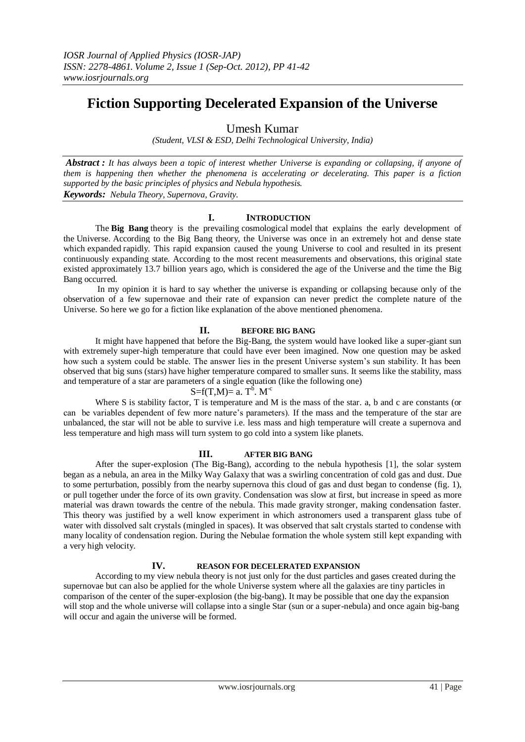# **Fiction Supporting Decelerated Expansion of the Universe**

Umesh Kumar

*(Student, VLSI & ESD, Delhi Technological University, India)*

*Abstract : It has always been a topic of interest whether Universe is expanding or collapsing, if anyone of them is happening then whether the phenomena is accelerating or decelerating. This paper is a fiction supported by the basic principles of physics and Nebula hypothesis. Keywords: Nebula Theory, Supernova, Gravity.*

# **I. INTRODUCTION**

The **Big Bang** theory is the prevailing [cosmological](http://en.wikipedia.org/wiki/Physical_cosmology) [model](http://en.wikipedia.org/wiki/Scientific_theory) that explains the early development of the [Universe.](http://en.wikipedia.org/wiki/Universe) According to the Big Bang theory, the Universe was once in an extremely hot and dense state which [expanded](http://en.wikipedia.org/wiki/Metric_expansion_of_space) rapidly. This rapid expansion caused the young Universe to cool and resulted in its present continuously expanding state. According to the most recent measurements and [observations,](http://en.wikipedia.org/wiki/Observational_cosmology) this original state existed approximately 13.7 billion years ago, which is considered the [age of the Universe](http://en.wikipedia.org/wiki/Age_of_the_Universe) and the time the Big Bang occurred.

In my opinion it is hard to say whether the universe is expanding or collapsing because only of the observation of a few supernovae and their rate of expansion can never predict the complete nature of the Universe. So here we go for a fiction like explanation of the above mentioned phenomena.

## **II. BEFORE BIG BANG**

It might have happened that before the Big-Bang, the system would have looked like a super-giant sun with extremely super-high temperature that could have ever been imagined. Now one question may be asked how such a system could be stable. The answer lies in the present Universe system's sun stability. It has been observed that big suns (stars) have higher temperature compared to smaller suns. It seems like the stability, mass and temperature of a star are parameters of a single equation (like the following one)

# $S = f(T,M) = a. T^b. M^{-c}$

Where S is stability factor, T is temperature and M is the mass of the star. a, b and c are constants (or can be variables dependent of few more nature's parameters). If the mass and the temperature of the star are unbalanced, the star will not be able to survive i.e. less mass and high temperature will create a supernova and less temperature and high mass will turn system to go cold into a system like planets.

## **III. AFTER BIG BANG**

After the super-explosion (The Big-Bang), according to the nebula hypothesis [1], the solar system began as a nebula, an area in the Milky Way Galaxy that was a swirling concentration of cold gas and dust. Due to some perturbation, possibly from the nearby supernova this cloud of gas and dust began to condense (fig. 1), or pull together under the force of its own gravity. Condensation was slow at first, but increase in speed as more material was drawn towards the centre of the nebula. This made gravity stronger, making condensation faster. This theory was justified by a well know experiment in which astronomers used a transparent glass tube of water with dissolved salt crystals (mingled in spaces). It was observed that salt crystals started to condense with many locality of condensation region. During the Nebulae formation the whole system still kept expanding with a very high velocity.

### **IV. REASON FOR DECELERATED EXPANSION**

According to my view nebula theory is not just only for the dust particles and gases created during the supernovae but can also be applied for the whole Universe system where all the galaxies are tiny particles in comparison of the center of the super-explosion (the big-bang). It may be possible that one day the expansion will stop and the whole universe will collapse into a single Star (sun or a super-nebula) and once again big-bang will occur and again the universe will be formed.